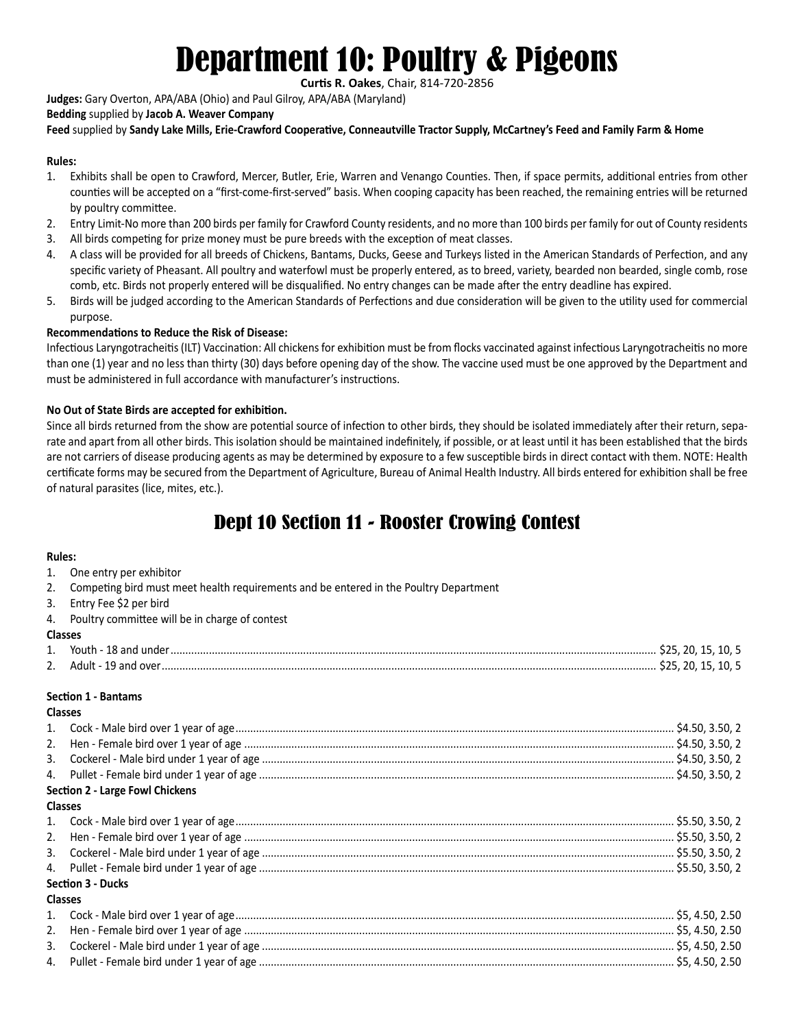# Department 10: Poultry & Pigeons

**Curtis R. Oakes**, Chair, 814-720-2856

**Judges:** Gary Overton, APA/ABA (Ohio) and Paul Gilroy, APA/ABA (Maryland)

## **Bedding** supplied by **Jacob A. Weaver Company**

**Feed** supplied by **Sandy Lake Mills, Erie-Crawford Cooperative, Conneautville Tractor Supply, McCartney's Feed and Family Farm & Home**

#### **Rules:**

- 1. Exhibits shall be open to Crawford, Mercer, Butler, Erie, Warren and Venango Counties. Then, if space permits, additional entries from other counties will be accepted on a "first-come-first-served" basis. When cooping capacity has been reached, the remaining entries will be returned by poultry committee.
- 2. Entry Limit-No more than 200 birds per family for Crawford County residents, and no more than 100 birds per family for out of County residents
- 3. All birds competing for prize money must be pure breeds with the exception of meat classes.
- 4. A class will be provided for all breeds of Chickens, Bantams, Ducks, Geese and Turkeys listed in the American Standards of Perfection, and any specific variety of Pheasant. All poultry and waterfowl must be properly entered, as to breed, variety, bearded non bearded, single comb, rose comb, etc. Birds not properly entered will be disqualified. No entry changes can be made after the entry deadline has expired.
- 5. Birds will be judged according to the American Standards of Perfections and due consideration will be given to the utility used for commercial purpose.

## **Recommendations to Reduce the Risk of Disease:**

Infectious Laryngotracheitis (ILT) Vaccination: All chickens for exhibition must be from flocks vaccinated against infectious Laryngotracheitis no more than one (1) year and no less than thirty (30) days before opening day of the show. The vaccine used must be one approved by the Department and must be administered in full accordance with manufacturer's instructions.

## **No Out of State Birds are accepted for exhibition.**

Since all birds returned from the show are potential source of infection to other birds, they should be isolated immediately after their return, separate and apart from all other birds. This isolation should be maintained indefinitely, if possible, or at least until it has been established that the birds are not carriers of disease producing agents as may be determined by exposure to a few susceptible birds in direct contact with them. NOTE: Health certificate forms may be secured from the Department of Agriculture, Bureau of Animal Health Industry. All birds entered for exhibition shall be free of natural parasites (lice, mites, etc.).

# Dept 10 Section 11 - Rooster Crowing Contest

#### **Rules:**

|                | <b>Rules:</b>                                                                         |  |  |  |  |  |
|----------------|---------------------------------------------------------------------------------------|--|--|--|--|--|
|                | 1. One entry per exhibitor                                                            |  |  |  |  |  |
| 2.             | Competing bird must meet health requirements and be entered in the Poultry Department |  |  |  |  |  |
| 3.             | Entry Fee \$2 per bird                                                                |  |  |  |  |  |
|                | 4. Poultry committee will be in charge of contest                                     |  |  |  |  |  |
| <b>Classes</b> |                                                                                       |  |  |  |  |  |
|                |                                                                                       |  |  |  |  |  |
|                |                                                                                       |  |  |  |  |  |
|                | <b>Section 1 - Bantams</b>                                                            |  |  |  |  |  |
| <b>Classes</b> |                                                                                       |  |  |  |  |  |
|                |                                                                                       |  |  |  |  |  |
|                |                                                                                       |  |  |  |  |  |
| 3.             |                                                                                       |  |  |  |  |  |
|                |                                                                                       |  |  |  |  |  |
|                | <b>Section 2 - Large Fowl Chickens</b>                                                |  |  |  |  |  |
| <b>Classes</b> |                                                                                       |  |  |  |  |  |
|                |                                                                                       |  |  |  |  |  |
|                |                                                                                       |  |  |  |  |  |
|                |                                                                                       |  |  |  |  |  |
|                |                                                                                       |  |  |  |  |  |
|                | <b>Section 3 - Ducks</b>                                                              |  |  |  |  |  |
| <b>Classes</b> |                                                                                       |  |  |  |  |  |
|                |                                                                                       |  |  |  |  |  |
|                |                                                                                       |  |  |  |  |  |
| 3.             |                                                                                       |  |  |  |  |  |
|                |                                                                                       |  |  |  |  |  |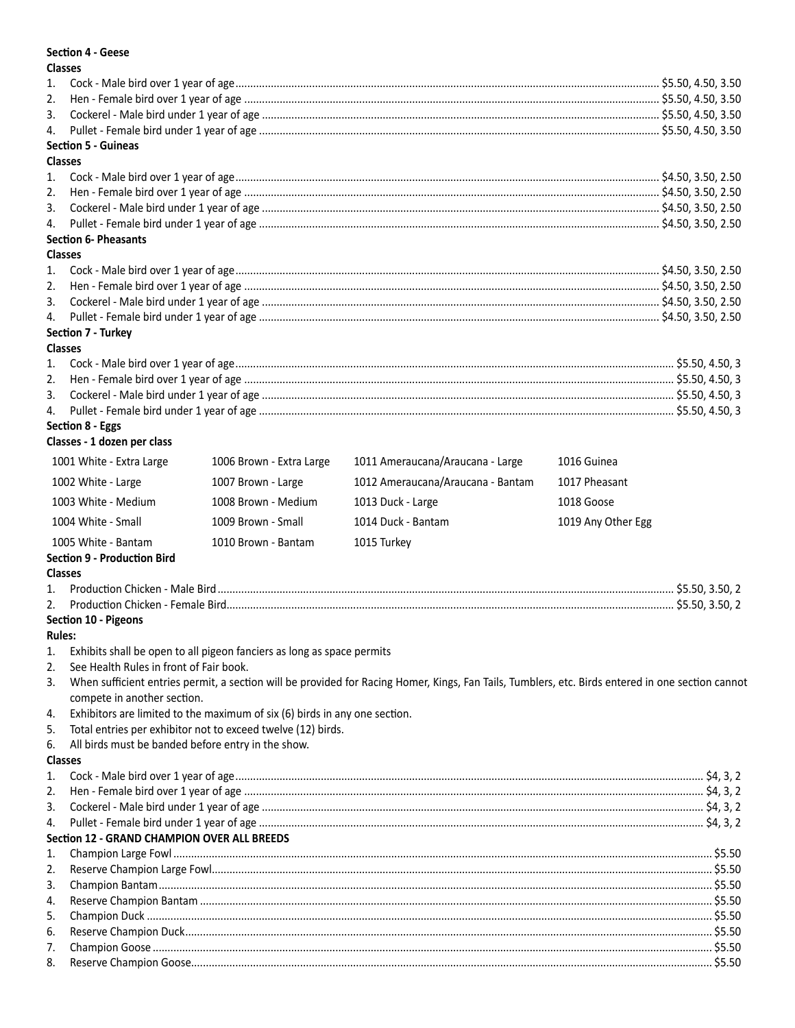#### **Section 4 - Geese**

 $\mathbf{a}$ 

| <b>Classes</b> |                                                    |                                                                            |                                                                                                                                                   |                    |  |
|----------------|----------------------------------------------------|----------------------------------------------------------------------------|---------------------------------------------------------------------------------------------------------------------------------------------------|--------------------|--|
| 1.             |                                                    |                                                                            |                                                                                                                                                   |                    |  |
| 2.             |                                                    |                                                                            |                                                                                                                                                   |                    |  |
| 3.             |                                                    |                                                                            |                                                                                                                                                   |                    |  |
| 4.             |                                                    |                                                                            |                                                                                                                                                   |                    |  |
|                | <b>Section 5 - Guineas</b>                         |                                                                            |                                                                                                                                                   |                    |  |
| <b>Classes</b> |                                                    |                                                                            |                                                                                                                                                   |                    |  |
| 1.             |                                                    |                                                                            |                                                                                                                                                   |                    |  |
| 2.             |                                                    |                                                                            |                                                                                                                                                   |                    |  |
| 3.             |                                                    |                                                                            |                                                                                                                                                   |                    |  |
| 4.             |                                                    |                                                                            |                                                                                                                                                   |                    |  |
|                | <b>Section 6- Pheasants</b>                        |                                                                            |                                                                                                                                                   |                    |  |
| <b>Classes</b> |                                                    |                                                                            |                                                                                                                                                   |                    |  |
| 1.             |                                                    |                                                                            |                                                                                                                                                   |                    |  |
| 2.             |                                                    |                                                                            |                                                                                                                                                   |                    |  |
| 3.             |                                                    |                                                                            |                                                                                                                                                   |                    |  |
| 4.             |                                                    |                                                                            |                                                                                                                                                   |                    |  |
|                | Section 7 - Turkey                                 |                                                                            |                                                                                                                                                   |                    |  |
| <b>Classes</b> |                                                    |                                                                            |                                                                                                                                                   |                    |  |
| 1.             |                                                    |                                                                            |                                                                                                                                                   |                    |  |
| 2.             |                                                    |                                                                            |                                                                                                                                                   |                    |  |
| 3.             |                                                    |                                                                            |                                                                                                                                                   |                    |  |
| 4.             |                                                    |                                                                            |                                                                                                                                                   |                    |  |
|                | Section 8 - Eggs                                   |                                                                            |                                                                                                                                                   |                    |  |
|                | Classes - 1 dozen per class                        |                                                                            |                                                                                                                                                   |                    |  |
|                |                                                    |                                                                            |                                                                                                                                                   |                    |  |
|                | 1001 White - Extra Large                           | 1006 Brown - Extra Large                                                   | 1011 Ameraucana/Araucana - Large                                                                                                                  | 1016 Guinea        |  |
|                | 1002 White - Large                                 | 1007 Brown - Large                                                         | 1012 Ameraucana/Araucana - Bantam                                                                                                                 | 1017 Pheasant      |  |
|                | 1003 White - Medium                                | 1008 Brown - Medium                                                        | 1013 Duck - Large                                                                                                                                 | 1018 Goose         |  |
|                |                                                    |                                                                            |                                                                                                                                                   |                    |  |
|                | 1004 White - Small                                 | 1009 Brown - Small                                                         | 1014 Duck - Bantam                                                                                                                                | 1019 Any Other Egg |  |
|                | 1005 White - Bantam                                | 1010 Brown - Bantam                                                        | 1015 Turkey                                                                                                                                       |                    |  |
|                | <b>Section 9 - Production Bird</b>                 |                                                                            |                                                                                                                                                   |                    |  |
| <b>Classes</b> |                                                    |                                                                            |                                                                                                                                                   |                    |  |
| 1.             |                                                    |                                                                            |                                                                                                                                                   |                    |  |
| 2.             |                                                    |                                                                            |                                                                                                                                                   |                    |  |
|                | Section 10 - Pigeons                               |                                                                            |                                                                                                                                                   |                    |  |
| <b>Rules:</b>  |                                                    |                                                                            |                                                                                                                                                   |                    |  |
| 1.             |                                                    | Exhibits shall be open to all pigeon fanciers as long as space permits     |                                                                                                                                                   |                    |  |
| 2.             | See Health Rules in front of Fair book.            |                                                                            |                                                                                                                                                   |                    |  |
| 3.             |                                                    |                                                                            | When sufficient entries permit, a section will be provided for Racing Homer, Kings, Fan Tails, Tumblers, etc. Birds entered in one section cannot |                    |  |
|                | compete in another section.                        |                                                                            |                                                                                                                                                   |                    |  |
| 4.             |                                                    | Exhibitors are limited to the maximum of six (6) birds in any one section. |                                                                                                                                                   |                    |  |
| 5.             |                                                    | Total entries per exhibitor not to exceed twelve (12) birds.               |                                                                                                                                                   |                    |  |
| 6.             | All birds must be banded before entry in the show. |                                                                            |                                                                                                                                                   |                    |  |
| <b>Classes</b> |                                                    |                                                                            |                                                                                                                                                   |                    |  |
| 1.             |                                                    |                                                                            |                                                                                                                                                   |                    |  |
|                |                                                    |                                                                            |                                                                                                                                                   |                    |  |
| 2.             |                                                    |                                                                            |                                                                                                                                                   |                    |  |
| 3.             |                                                    |                                                                            |                                                                                                                                                   |                    |  |
| 4.             |                                                    |                                                                            |                                                                                                                                                   |                    |  |
|                | <b>Section 12 - GRAND CHAMPION OVER ALL BREEDS</b> |                                                                            |                                                                                                                                                   |                    |  |
| 1.             |                                                    |                                                                            |                                                                                                                                                   |                    |  |
| 2.             |                                                    |                                                                            |                                                                                                                                                   |                    |  |
| 3.             |                                                    |                                                                            |                                                                                                                                                   |                    |  |
| 4.             |                                                    |                                                                            |                                                                                                                                                   |                    |  |
| 5.             |                                                    |                                                                            |                                                                                                                                                   |                    |  |
| 6.             |                                                    |                                                                            |                                                                                                                                                   |                    |  |
| 7.             |                                                    |                                                                            |                                                                                                                                                   |                    |  |
| 8.             |                                                    |                                                                            |                                                                                                                                                   |                    |  |